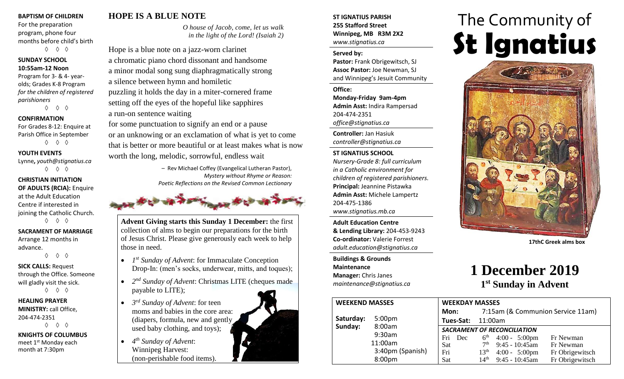#### **BAPTISM OF CHILDREN**

For the preparation program, phone four months before child's birth ◊ ◊ ◊

#### **SUNDAY SCHOOL 10:55am-12 Noon**

Program for 3- & 4- yearolds; Grades K-8 Program *for the children of registered parishioners*

◊ ◊ ◊

#### **CONFIRMATION**

For Grades 8-12: Enquire at Parish Office in September ◊ ◊ ◊

#### **YOUTH EVENTS**

Lynne**,** *youth@stignatius.ca* ◊ ◊ ◊

#### **CHRISTIAN INITIATION OF ADULTS (RCIA):** Enquire at the Adult Education Centre if interested in joining the Catholic Church. ◊ ◊ ◊

#### **SACRAMENT OF MARRIAGE**

Arrange 12 months in advance.

◊ ◊ ◊

#### **SICK CALLS:** Request through the Office. Someone will gladly visit the sick. ◊ ◊ ◊

**HEALING PRAYER MINISTRY:** call Office, 204-474-2351

◊ ◊ ◊

**KNIGHTS OF COLUMBUS** meet 1<sup>st</sup> Monday each month at 7:30pm

# **HOPE IS A BLUE NOTE**

*O house of Jacob, come, let us walk in the light of the Lord! (Isaiah 2)*

Hope is a blue note on a jazz-worn clarinet a chromatic piano chord dissonant and handsome a minor modal song sung diaphragmatically strong a silence between hymn and homiletic puzzling it holds the day in a miter-cornered frame setting off the eyes of the hopeful like sapphires a run-on sentence waiting

for some punctuation to signify an end or a pause or an unknowing or an exclamation of what is yet to come that is better or more beautiful or at least makes what is now worth the long, melodic, sorrowful, endless wait

> – Rev Michael Coffey (Evangelical Lutheran Pastor), *Mystery without Rhyme or Reason: Poetic Reflections on the Revised Common Lectionary*



**Advent Giving starts this Sunday 1 December:** the first collection of alms to begin our preparations for the birth of Jesus Christ. Please give generously each week to help those in need.

- *1<sup>st</sup>* Sunday of Advent: for Immaculate Conception Drop-In: (men's socks, underwear, mitts, and toques);
- *2 nd Sunday of Advent*: Christmas LITE (cheques made payable to LITE);
- *3 rd Sunday of Advent*: for teen moms and babies in the core area: (diapers, formula, new and gently used baby clothing, and toys);
- *4 th Sunday of Advent*: Winnipeg Harvest: (non-perishable food items).



#### **ST IGNATIUS PARISH 255 Stafford Street Winnipeg, MB R3M 2X2** *www.stignatius.ca*

#### **Served by:**

**Pastor:** Frank Obrigewitsch, SJ **Assoc Pastor:** Joe Newman, SJ and Winnipeg's Jesuit Community

**Office: Monday-Friday 9am-4pm Admin Asst:** Indira Rampersad 204-474-2351 *office@stignatius.ca*

**Controller:** Jan Hasiuk *controller@stignatius.ca*

#### **ST IGNATIUS SCHOOL**

*Nursery-Grade 8: full curriculum in a Catholic environment for children of registered parishioners.* **Principal:** Jeannine Pistawka **Admin Asst:** Michele Lampertz 204-475-1386 *www.stignatius.mb.ca*

**Adult Education Centre & Lending Library:** 204-453-9243 **Co-ordinator:** Valerie Forrest *adult.education@stignatius.ca*

**Buildings & Grounds Maintenance Manager:** Chris Janes *maintenance@stignatius.ca*

# The Community of **St Ignatius**



**17thC Greek alms box**

# **1 December 2019 1 st Sunday in Advent**

| <b>WEEKEND MASSES</b> |                             | <b>WEEKDAY MASSES</b>              |                                   |                         |                 |
|-----------------------|-----------------------------|------------------------------------|-----------------------------------|-------------------------|-----------------|
|                       |                             | Mon:                               | 7:15am (& Communion Service 11am) |                         |                 |
| Saturday:             | 5:00 <sub>pm</sub>          | Tues-Sat: 11:00am                  |                                   |                         |                 |
| Sunday:               | 8:00am<br>9:30am<br>11:00am | <b>SACRAMENT OF RECONCILIATION</b> |                                   |                         |                 |
|                       |                             | Fri<br>Dec                         |                                   | $6th$ 4:00 - 5:00pm     | Fr Newman       |
|                       |                             | Sat                                | 7 <sup>th</sup>                   | $9:45 - 10:45$ am       | Fr Newman       |
|                       | 3:40pm (Spanish)            | Fri                                | 13 <sup>th</sup>                  | $4:00 - 5:00 \text{pm}$ | Fr Obrigewitsch |
|                       | 8:00pm                      | Sat                                | 14 <sup>th</sup>                  | $9:45 - 10:45$ am       | Fr Obrigewitsch |